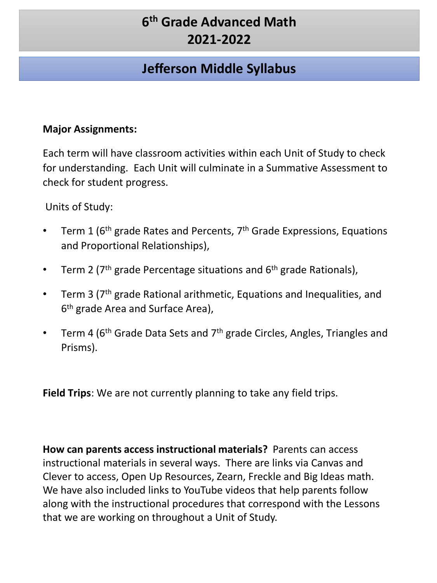## **Jefferson Middle Syllabus**

#### **Major Assignments:**

Each term will have classroom activities within each Unit of Study to check for understanding. Each Unit will culminate in a Summative Assessment to check for student progress.

Units of Study:

- Term 1 ( $6<sup>th</sup>$  grade Rates and Percents,  $7<sup>th</sup>$  Grade Expressions, Equations and Proportional Relationships),
- Term 2 ( $7<sup>th</sup>$  grade Percentage situations and  $6<sup>th</sup>$  grade Rationals),
- Term 3 (7<sup>th</sup> grade Rational arithmetic, Equations and Inequalities, and 6<sup>th</sup> grade Area and Surface Area),
- Term 4 ( $6<sup>th</sup>$  Grade Data Sets and  $7<sup>th</sup>$  grade Circles, Angles, Triangles and Prisms).

**Field Trips**: We are not currently planning to take any field trips.

**How can parents access instructional materials?** Parents can access instructional materials in several ways. There are links via Canvas and Clever to access, Open Up Resources, Zearn, Freckle and Big Ideas math. We have also included links to YouTube videos that help parents follow along with the instructional procedures that correspond with the Lessons that we are working on throughout a Unit of Study.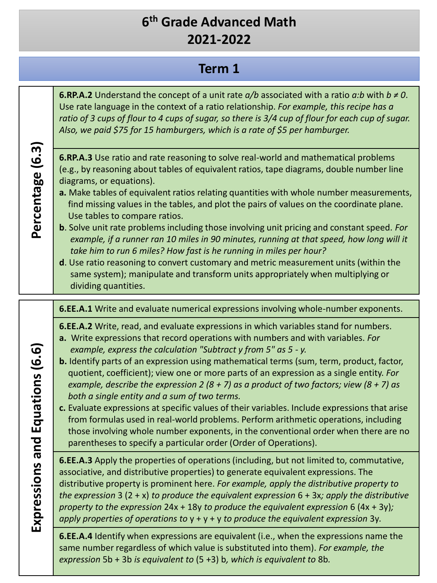#### **Term 1**

**6.RP.A.2** Understand the concept of a unit rate *a/b* associated with a ratio *a:b* with *b ≠ 0*. Use rate language in the context of a ratio relationship. *For example, this recipe has a ratio of 3 cups of flour to 4 cups of sugar, so there is 3/4 cup of flour for each cup of sugar. Also, we paid \$75 for 15 hamburgers, which is a rate of \$5 per hamburger.*

# **Percentage (6.3)** Percentage (6.3)

- **6.RP.A.3** Use ratio and rate reasoning to solve real-world and mathematical problems (e.g., by reasoning about tables of equivalent ratios, tape diagrams, double number line diagrams, or equations).
- **a.** Make tables of equivalent ratios relating quantities with whole number measurements, find missing values in the tables, and plot the pairs of values on the coordinate plane. Use tables to compare ratios.
- **b**. Solve unit rate problems including those involving unit pricing and constant speed*. For example, if a runner ran 10 miles in 90 minutes, running at that speed, how long will it take him to run 6 miles? How fast is he running in miles per hour?*
- **d**. Use ratio reasoning to convert customary and metric measurement units (within the same system); manipulate and transform units appropriately when multiplying or dividing quantities.

**6.EE.A.1** Write and evaluate numerical expressions involving whole-number exponents.

- **6.EE.A.2** Write, read, and evaluate expressions in which variables stand for numbers.
- **a.** Write expressions that record operations with numbers and with variables. *For example, express the calculation "Subtract y from 5" as 5 - y.*
- **b.** Identify parts of an expression using mathematical terms (sum, term, product, factor, quotient, coefficient); view one or more parts of an expression as a single entity. *For example, describe the expression 2 (8 + 7) as a product of two factors; view (8 + 7) as both a single entity and a sum of two terms.*
- **c.** Evaluate expressions at specific values of their variables. Include expressions that arise from formulas used in real-world problems. Perform arithmetic operations, including those involving whole number exponents, in the conventional order when there are no parentheses to specify a particular order (Order of Operations).

**6.EE.A.3** Apply the properties of operations (including, but not limited to, commutative, associative, and distributive properties) to generate equivalent expressions. The distributive property is prominent here. *For example, apply the distributive property to the expression* 3 (2 + x) *to produce the equivalent expression* 6 + 3x*; apply the distributive property to the expression* 24x + 18y *to produce the equivalent expression* 6 (4x + 3y)*; apply properties of operations to* y + y + y *to produce the equivalent expression* 3y*.*

**6.EE.A.4** Identify when expressions are equivalent (i.e., when the expressions name the same number regardless of which value is substituted into them). *For example, the expression* 5b + 3b *is equivalent to* (5 +3) b*, which is equivalent to* 8b*.*

Expressions and Equations (6.6) **Expressions and Equations (6.6)**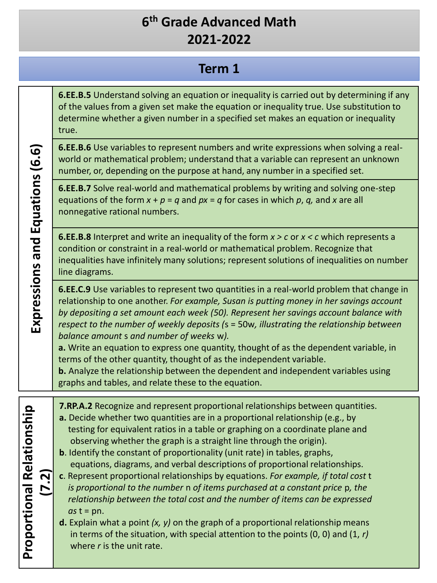#### **Term 1**

**6.EE.B.5** Understand solving an equation or inequality is carried out by determining if any of the values from a given set make the equation or inequality true. Use substitution to determine whether a given number in a specified set makes an equation or inequality true.

**6.EE.B.6** Use variables to represent numbers and write expressions when solving a realworld or mathematical problem; understand that a variable can represent an unknown number, or, depending on the purpose at hand, any number in a specified set.

**6.EE.B.7** Solve real-world and mathematical problems by writing and solving one-step equations of the form  $x + p = q$  and  $px = q$  for cases in which p, q, and x are all nonnegative rational numbers.

**6.EE.B.8** Interpret and write an inequality of the form *x > c* or *x < c* which represents a condition or constraint in a real-world or mathematical problem. Recognize that inequalities have infinitely many solutions; represent solutions of inequalities on number line diagrams.

**6.EE.C.9** Use variables to represent two quantities in a real-world problem that change in relationship to one another. *For example, Susan is putting money in her savings account by depositing a set amount each week (50). Represent her savings account balance with respect to the number of weekly deposits (*s = 50w*, illustrating the relationship between balance amount* s *and number of weeks* w*).*

**a.** Write an equation to express one quantity, thought of as the dependent variable, in terms of the other quantity, thought of as the independent variable.

**b.** Analyze the relationship between the dependent and independent variables using graphs and tables, and relate these to the equation.

**7.RP.A.2** Recognize and represent proportional relationships between quantities.

- **a.** Decide whether two quantities are in a proportional relationship (e.g., by testing for equivalent ratios in a table or graphing on a coordinate plane and observing whether the graph is a straight line through the origin).
- **b**. Identify the constant of proportionality (unit rate) in tables, graphs, equations, diagrams, and verbal descriptions of proportional relationships.
- **c**. Represent proportional relationships by equations. *For example, if total cost* t *is proportional to the number* n *of items purchased at a constant price* p*, the relationship between the total cost and the number of items can be expressed*   $as t = pn.$
- **d.** Explain what a point *(x, y)* on the graph of a proportional relationship means in terms of the situation, with special attention to the points (0, 0) and (1, *r)*  where *r* is the unit rate.

Expressions and Equations (6.6) **Expressions and Equations (6.6)**

**Proportional Relationship** 

**Proportional Relationship** 

**(7.2)**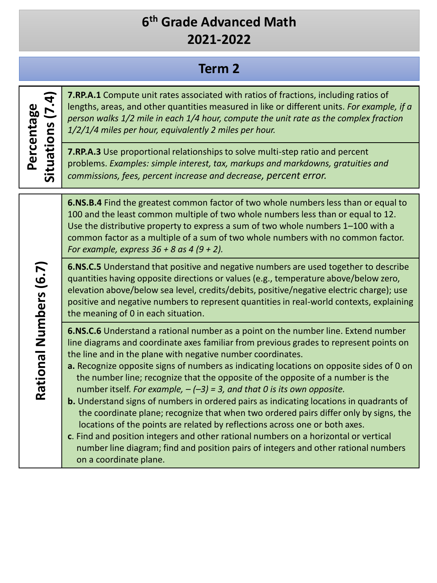## **Term 2**

| Situations (7.4)<br>Percentage | <b>7.RP.A.1</b> Compute unit rates associated with ratios of fractions, including ratios of<br>lengths, areas, and other quantities measured in like or different units. For example, if a<br>person walks 1/2 mile in each 1/4 hour, compute the unit rate as the complex fraction<br>1/2/1/4 miles per hour, equivalently 2 miles per hour.                                                                                                                                                                                                                                                                                                                                                                                                                                                                                                                                                                                                                                              |
|--------------------------------|--------------------------------------------------------------------------------------------------------------------------------------------------------------------------------------------------------------------------------------------------------------------------------------------------------------------------------------------------------------------------------------------------------------------------------------------------------------------------------------------------------------------------------------------------------------------------------------------------------------------------------------------------------------------------------------------------------------------------------------------------------------------------------------------------------------------------------------------------------------------------------------------------------------------------------------------------------------------------------------------|
|                                | 7.RP.A.3 Use proportional relationships to solve multi-step ratio and percent<br>problems. Examples: simple interest, tax, markups and markdowns, gratuities and<br>commissions, fees, percent increase and decrease, percent error.                                                                                                                                                                                                                                                                                                                                                                                                                                                                                                                                                                                                                                                                                                                                                       |
| Rational Numbers (6.7)         | 6.NS.B.4 Find the greatest common factor of two whole numbers less than or equal to<br>100 and the least common multiple of two whole numbers less than or equal to 12.<br>Use the distributive property to express a sum of two whole numbers 1-100 with a<br>common factor as a multiple of a sum of two whole numbers with no common factor.<br>For example, express $36 + 8$ as 4 (9 + 2).                                                                                                                                                                                                                                                                                                                                                                                                                                                                                                                                                                                             |
|                                | 6.NS.C.5 Understand that positive and negative numbers are used together to describe<br>quantities having opposite directions or values (e.g., temperature above/below zero,<br>elevation above/below sea level, credits/debits, positive/negative electric charge); use<br>positive and negative numbers to represent quantities in real-world contexts, explaining<br>the meaning of 0 in each situation.                                                                                                                                                                                                                                                                                                                                                                                                                                                                                                                                                                                |
|                                | 6.NS.C.6 Understand a rational number as a point on the number line. Extend number<br>line diagrams and coordinate axes familiar from previous grades to represent points on<br>the line and in the plane with negative number coordinates.<br>a. Recognize opposite signs of numbers as indicating locations on opposite sides of 0 on<br>the number line; recognize that the opposite of the opposite of a number is the<br>number itself. For example, $-(-3) = 3$ , and that 0 is its own opposite.<br><b>b.</b> Understand signs of numbers in ordered pairs as indicating locations in quadrants of<br>the coordinate plane; recognize that when two ordered pairs differ only by signs, the<br>locations of the points are related by reflections across one or both axes.<br>c. Find and position integers and other rational numbers on a horizontal or vertical<br>number line diagram; find and position pairs of integers and other rational numbers<br>on a coordinate plane. |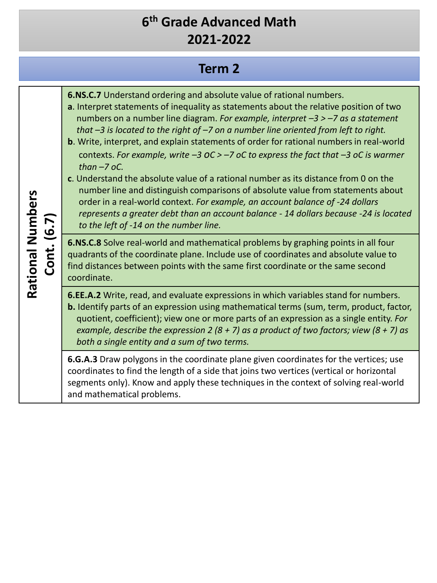## **Term 2**

| Rational Numbers<br>Cont. (6.7) | 6.NS.C.7 Understand ordering and absolute value of rational numbers.<br>a. Interpret statements of inequality as statements about the relative position of two<br>numbers on a number line diagram. For example, interpret $-3 > -7$ as a statement<br>that $-3$ is located to the right of $-7$ on a number line oriented from left to right.<br>b. Write, interpret, and explain statements of order for rational numbers in real-world<br>contexts. For example, write $-3$ OC > $-7$ oC to express the fact that $-3$ oC is warmer<br>than $-7$ oC.<br>c. Understand the absolute value of a rational number as its distance from 0 on the<br>number line and distinguish comparisons of absolute value from statements about<br>order in a real-world context. For example, an account balance of -24 dollars<br>represents a greater debt than an account balance - 14 dollars because -24 is located<br>to the left of -14 on the number line. |
|---------------------------------|-------------------------------------------------------------------------------------------------------------------------------------------------------------------------------------------------------------------------------------------------------------------------------------------------------------------------------------------------------------------------------------------------------------------------------------------------------------------------------------------------------------------------------------------------------------------------------------------------------------------------------------------------------------------------------------------------------------------------------------------------------------------------------------------------------------------------------------------------------------------------------------------------------------------------------------------------------|
|                                 | 6.NS.C.8 Solve real-world and mathematical problems by graphing points in all four<br>quadrants of the coordinate plane. Include use of coordinates and absolute value to<br>find distances between points with the same first coordinate or the same second<br>coordinate.                                                                                                                                                                                                                                                                                                                                                                                                                                                                                                                                                                                                                                                                           |
|                                 | 6.EE.A.2 Write, read, and evaluate expressions in which variables stand for numbers.<br>b. Identify parts of an expression using mathematical terms (sum, term, product, factor,<br>quotient, coefficient); view one or more parts of an expression as a single entity. For<br>example, describe the expression 2 (8 + 7) as a product of two factors; view (8 + 7) as<br>both a single entity and a sum of two terms.                                                                                                                                                                                                                                                                                                                                                                                                                                                                                                                                |
|                                 | 6.G.A.3 Draw polygons in the coordinate plane given coordinates for the vertices; use<br>coordinates to find the length of a side that joins two vertices (vertical or horizontal<br>segments only). Know and apply these techniques in the context of solving real-world<br>and mathematical problems.                                                                                                                                                                                                                                                                                                                                                                                                                                                                                                                                                                                                                                               |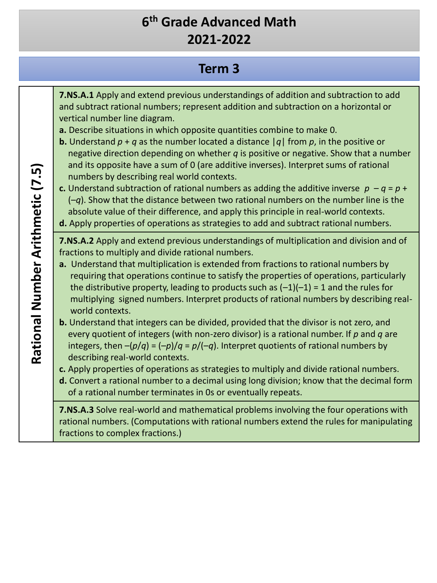## **Term 3**

| Rational Number Arithmetic (7.5) | 7.NS.A.1 Apply and extend previous understandings of addition and subtraction to add<br>and subtract rational numbers; represent addition and subtraction on a horizontal or<br>vertical number line diagram.<br>a. Describe situations in which opposite quantities combine to make 0.<br><b>b.</b> Understand $p + q$ as the number located a distance $ q $ from p, in the positive or<br>negative direction depending on whether $q$ is positive or negative. Show that a number<br>and its opposite have a sum of 0 (are additive inverses). Interpret sums of rational<br>numbers by describing real world contexts.<br>c. Understand subtraction of rational numbers as adding the additive inverse $p - q = p + q$<br>$(-q)$ . Show that the distance between two rational numbers on the number line is the<br>absolute value of their difference, and apply this principle in real-world contexts.<br>d. Apply properties of operations as strategies to add and subtract rational numbers.                                                                                                                                                                                                                                                                                                                                                   |
|----------------------------------|---------------------------------------------------------------------------------------------------------------------------------------------------------------------------------------------------------------------------------------------------------------------------------------------------------------------------------------------------------------------------------------------------------------------------------------------------------------------------------------------------------------------------------------------------------------------------------------------------------------------------------------------------------------------------------------------------------------------------------------------------------------------------------------------------------------------------------------------------------------------------------------------------------------------------------------------------------------------------------------------------------------------------------------------------------------------------------------------------------------------------------------------------------------------------------------------------------------------------------------------------------------------------------------------------------------------------------------------------------|
|                                  | 7.NS.A.2 Apply and extend previous understandings of multiplication and division and of<br>fractions to multiply and divide rational numbers.<br>a. Understand that multiplication is extended from fractions to rational numbers by<br>requiring that operations continue to satisfy the properties of operations, particularly<br>the distributive property, leading to products such as $(-1)(-1) = 1$ and the rules for<br>multiplying signed numbers. Interpret products of rational numbers by describing real-<br>world contexts.<br><b>b.</b> Understand that integers can be divided, provided that the divisor is not zero, and<br>every quotient of integers (with non-zero divisor) is a rational number. If $p$ and $q$ are<br>integers, then $-(p/q) = (-p)/q = p/(-q)$ . Interpret quotients of rational numbers by<br>describing real-world contexts.<br>c. Apply properties of operations as strategies to multiply and divide rational numbers.<br>d. Convert a rational number to a decimal using long division; know that the decimal form<br>of a rational number terminates in 0s or eventually repeats.<br>7.NS.A.3 Solve real-world and mathematical problems involving the four operations with<br>rational numbers. (Computations with rational numbers extend the rules for manipulating<br>fractions to complex fractions.) |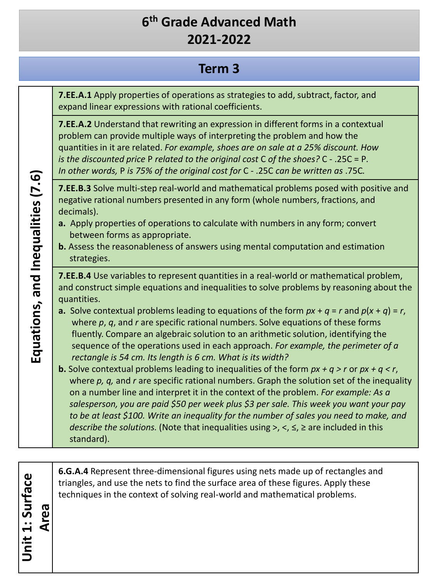#### **Term 3**

**7.EE.A.1** Apply properties of operations as strategies to add, subtract, factor, and expand linear expressions with rational coefficients.

**7.EE.A.2** Understand that rewriting an expression in different forms in a contextual problem can provide multiple ways of interpreting the problem and how the quantities in it are related. *For example, shoes are on sale at a 25% discount. How is the discounted price* P *related to the original cost* C *of the shoes?* C - .25C = P*. In other words,* P *is 75% of the original cost for* C - .25C *can be written as* .75C*.*

**7.EE.B.3** Solve multi-step real-world and mathematical problems posed with positive and negative rational numbers presented in any form (whole numbers, fractions, and decimals).

- **a.** Apply properties of operations to calculate with numbers in any form; convert between forms as appropriate.
- **b.** Assess the reasonableness of answers using mental computation and estimation strategies.

**7.EE.B.4** Use variables to represent quantities in a real-world or mathematical problem, and construct simple equations and inequalities to solve problems by reasoning about the quantities.

- **a.** Solve contextual problems leading to equations of the form  $px + q = r$  and  $p(x + q) = r$ , where *p*, *q*, and *r* are specific rational numbers. Solve equations of these forms fluently. Compare an algebraic solution to an arithmetic solution, identifying the sequence of the operations used in each approach. *For example, the perimeter of a rectangle is 54 cm. Its length is 6 cm. What is its width?*
- **b.** Solve contextual problems leading to inequalities of the form *px + q > r* or *px + q < r*, where *p, q,* and *r* are specific rational numbers. Graph the solution set of the inequality on a number line and interpret it in the context of the problem. *For example: As a salesperson, you are paid \$50 per week plus \$3 per sale. This week you want your pay to be at least \$100. Write an inequality for the number of sales you need to make, and describe the solutions.* (Note that inequalities using >, <, ≤, ≥ are included in this standard).

**6.G.A.4** Represent three-dimensional figures using nets made up of rectangles and triangles, and use the nets to find the surface area of these figures. Apply these techniques in the context of solving real-world and mathematical problems.

Equations, and Inequalities (7.6) **Equations, and Inequalities (7.6)**

**Unit 1: Surface** 

Unit 1: Surface

**Area**